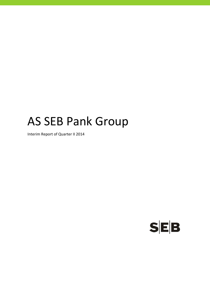# AS SEB Pank Group

Interim Report of Quarter II 2014

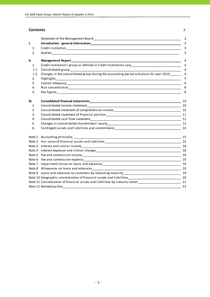# **Contents** P.

|                | Statement of the Management Board Statement of the Statement of the Management Board                                                                                                                                           |    |
|----------------|--------------------------------------------------------------------------------------------------------------------------------------------------------------------------------------------------------------------------------|----|
| I.             | Introduction - general information and the contract of the contract of the contract of the contract of the contract of the contract of the contract of the contract of the contract of the contract of the contract of the con |    |
| 1.             |                                                                                                                                                                                                                                |    |
| 2.             |                                                                                                                                                                                                                                |    |
| II.            | <b>Management Report</b><br><u> 1980 - Andrea Stadt Britain, fransk politik (f. 1980)</u>                                                                                                                                      |    |
| 1.             | Credit institution's group as defined in Credit Institutions Law___________________________________                                                                                                                            |    |
| 1.1.           |                                                                                                                                                                                                                                |    |
| 1.2.           | Changes in the consolidated group during the accounting period and plans for year 2014_____                                                                                                                                    |    |
| 2.             |                                                                                                                                                                                                                                |    |
| 3.             |                                                                                                                                                                                                                                |    |
| 4.             |                                                                                                                                                                                                                                |    |
| 5.             |                                                                                                                                                                                                                                |    |
| Ш.             |                                                                                                                                                                                                                                | 10 |
| $\mathbf{1}$ . |                                                                                                                                                                                                                                |    |
| 2.             |                                                                                                                                                                                                                                |    |
| 3.             |                                                                                                                                                                                                                                |    |
| 4.             |                                                                                                                                                                                                                                |    |
| 5.             |                                                                                                                                                                                                                                |    |
| 6.             |                                                                                                                                                                                                                                |    |
|                |                                                                                                                                                                                                                                | 15 |
|                |                                                                                                                                                                                                                                | 16 |
|                |                                                                                                                                                                                                                                | 18 |
|                |                                                                                                                                                                                                                                |    |
|                |                                                                                                                                                                                                                                |    |
|                | Note 6 Fee and commission expense example and the control of the control of the control of the control of the control of the control of the control of the control of the control of the control of the control of the control |    |
|                |                                                                                                                                                                                                                                | 19 |
|                |                                                                                                                                                                                                                                | 19 |
|                |                                                                                                                                                                                                                                |    |
|                |                                                                                                                                                                                                                                |    |
|                | Note 11 Concentration of financial assets and liabilities by industry sector_________________________________21                                                                                                                |    |
|                |                                                                                                                                                                                                                                | 23 |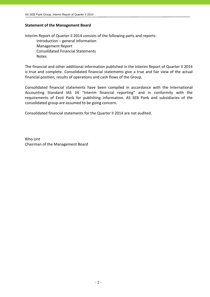#### **Statement of the Management Board**

Interim Report of Quarter II 2014 consists of the following parts and reports: Introduction – general information Management Report Consolidated Financial Statements Notes

The financial and other additional information published in the Interim Report of Quarter II 2014 is true and complete. Consolidated financial statements give a true and fair view of the actual financial position, results of operations and cash flows of the Group.

Consolidated financial statements have been compiled in accordance with the International Accounting Standard IAS 34 "Interim financial reporting" and in conformity with the requirements of Eesti Pank for publishing information. AS SEB Pank and subsidiaries of the consolidated group are assumed to be going concern.

Consolidated financial statements for the Quarter II 2014 are not audited.

Riho Unt Chairman of the Management Board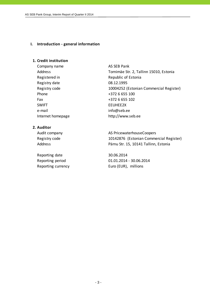#### **I. Introduction ‐ general information**

## **1. Credit institution**

Company name AS SEB Pank Registered in Republic of Estonia Registry date 08.12.1995 Phone +372 6 655 100 Fax +372 6 655 102 SWIFT EEUHEE2X e-mail info@seb.ee

Address Tornimäe Str. 2, Tallinn 15010, Estonia Registry code 10004252 (Estonian Commercial Register) Internet homepage http://www.seb.ee

#### **2. Auditor**

Reporting date 30.06.2014

Audit company **AS PricewaterhouseCoopers** Registry code 10142876 (Estonian Commercial Register) Address **Pärnu Str. 15, 10141 Tallinn, Estonia** 

Reporting period 01.01.2014 ‐ 30.06.2014 Reporting currency **EUR** Euro (EUR), millions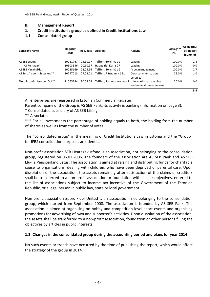#### **II. Management Report**

- **1. Credit institution's group as defined in Credit Institutions Law**
- **1.1. Consolidated group**

| Company name                            | Registry<br>code | Reg. date | <b>Address</b>            | <b>Activity</b>                                              | Holding***<br>(%) | At an acqui-<br>sition cost<br>(EURmio) |
|-----------------------------------------|------------------|-----------|---------------------------|--------------------------------------------------------------|-------------------|-----------------------------------------|
| AS SEB Liising                          | 10281767         | 03.10.97  | Tallinn, Tornimäe 2       | Leasing                                                      | 100.0%            | 1.8                                     |
| AS Rentacar*                            | 10303546         | 20.10.97  | Haapsalu, Karja 27        | Leasing                                                      | 100.0%            | 0.0                                     |
| AS SEB Varahaldus                       | 10035169         | 22.05.96  | Tallinn, Tornimäe 2       | Asset management                                             | 100.0%            | 2.7                                     |
| AS Sertifits eerimis keskus **          | 10747013         | 27.03.01  | Tallinn, Pärnu mnt 141    | Data communication                                           | 25.0%             | 1.0                                     |
| Tieto Estonia Services OÜ <sup>**</sup> | 11065244         | 30.08.04  | Tallinn, Tammsaare tee 47 | services<br>Information processing<br>and network management | 20.0%             | $0.0\,$                                 |
|                                         |                  |           |                           |                                                              |                   | 5.5                                     |

All enterprises are registered in Estonian Commercial Register.

Parent company of the Group is AS SEB Pank, its activity is banking (information on page 3).

\* Consolidated subsidiary of AS SEB Liising

\*\* Associates

\*\*\* For all investments the percentage of holding equals to both, the holding from the number of shares as well as from the number of votes.

The "consolidated group" in the meaning of Credit Institutions Law in Estonia and the "Group" for IFRS consolidation purposes are identical.

Non‐profit association SEB Heategevusfond is an association, not belonging to the consolidation group, registered on 06.01.2006. The founders of the association are AS SEB Pank and AS SEB Elu‐ ja Pensionikindlustus. The association is aimed at raising and distributing funds for charitable cause to organisations, dealing with children, who have been deprived of parental care. Upon dissolution of the association, the assets remaining after satisfaction of the claims of creditors shall be transferred to a non‐profit association or foundation with similar objectives, entered to the list of associations subject to income tax incentive of the Government of the Estonian Republic, or a legal person in public law, state or local government.

Non‐profit association Spordiklubi United is an association, not belonging to the consolidation group, which started from September 2008. The association is founded by AS SEB Pank. The association is aimed at organising on hobby and competition level sport events and organising promotions for advertising of own and supporter´s activities. Upon dissolution of the association, the assets shall be transferred to a non‐profit association, foundation or other persons filling the objectives by articles in public interests.

#### **1.2. Changes in the consolidated group during the accounting period and plans for year 2014**

No such events or trends have occurred by the time of publishing the report, which would affect the strategy of the group in 2014.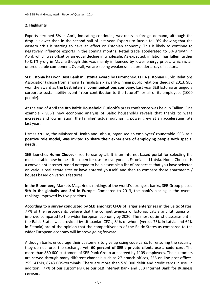# **2. Highlights**

Exports declined 5% in April, indicating continuing weakness in foreign demand, although the drop is slower than in the second half of last year. Exports to Russia fell 9% showing that the eastern crisis is starting to have an effect on Estonian economy. This is likely to continue to negatively influence exports in the coming months. Retail trade accelerated to 8% growth in April, which was offset by an equal decline in wholesale. As expected, inflation has fallen further to 0.1% y‐o‐y in May, although this was mainly influenced by lower energy prices, which is an unpredictable component. Overall, we are seeing weakness in a broader array of sectors.

SEB Estonia has won **Best Bank in Estonia** Award by Euromoney. EPRA (Estonian Public Relations Association) chose from among 12 finalists six award-winning public relations deeds of 2013. SEB won the award as **the best internal communications company**. Last year SEB Estonia arranged a corporate sustainability event "Your contribution to the future!" for all of its employees (1000 people).

At the end of April the **8th Baltic Household Outlook's** press conference was held in Tallinn. One example - SEB's new economic analysis of Baltic households reveals that thanks to wage increases and low inflation, the families' actual purchasing power grew at an accelerating rate last year.

Urmas Kruuse, the Minister of Health and Labour, organised an employers' roundtable. SEB, as a **positive role model, was invited to share their experience of employing people with special needs.**

SEB launches **Home Chooser** free to use by all. It is an Internet‐based portal for selecting the most suitable new home – it is open for use for everyone in Estonia and Latvia. Home Chooser is a convenient Internet‐based notepad to help assemble a list of properties that you have selected on various real estate sites or have entered yourself, and then to compare those apartments / houses based on various features.

In the **Bloomberg** Markets Magazine's rankings of the world's strongest banks, SEB Group placed **9th in the globally and 3rd in Europe**. Compared to 2013, the bank's placing in the overall rankings improved by five positions.

According to a **survey conducted by SEB amongst CFOs** of larger enterprises in the Baltic States, 77% of the respondents believe that the competitiveness of Estonia, Latvia and Lithuania will improve compared to the wider European economy by 2020. The most optimistic assessment in the Baltic States was provided by Lithuanian CFOs, 84% of whom (versus 73% in Latvia and 69% in Estonia) are of the opinion that the competitiveness of the Baltic States as compared to the wider European economy will improve going forward.

Although banks encourage their customers to give up using code cards for ensuring the security, they do not force the exchange yet. **60 percent of SEB's private clients use a code card.** The more than 880 600 customers of SEB Pank Group are served by 1109 employees. The customers are served through many different channels such as 27 branch offices, 255 on-line post offices, 255 ATMs, 8743 POS‐terminals. There are more than 538 000 debit and credit cards in use. In addition, 77% of our customers use our SEB Internet Bank and SEB Internet Bank for Business services.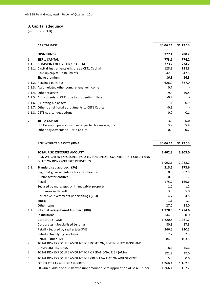# **3. Capital adequacy**

|      | <b>CAPITAL BASE</b>                                    | 30.06.14 | 31.12.13 |
|------|--------------------------------------------------------|----------|----------|
|      | <b>OWN FUNDS</b>                                       | 777.1    | 780.2    |
| 1.   | <b>TIER 1 CAPITAL</b>                                  | 773.2    | 774.2    |
| 1.1. | <b>COMMON EQUITY TIER 1 CAPITAL</b>                    | 773.2    | 774.2    |
|      | 1.1.1. Capital instruments eligible as CET1 Capital    | 128.8    | 128.8    |
|      | Paid up capital instruments                            | 42.5     | 42.5     |
|      | Share premium                                          | 86.3     | 86.3     |
|      | 1.1.2. Retained earnings                               | 626.0    | 627.0    |
|      | 1.1.3. Accumulated other comprehensive income          | 0.7      |          |
|      | 1.1.4. Other reserves                                  | 19.3     | 19.4     |
|      | 1.1.5. Adjustments to CET1 due to prudential filters   | $-0.2$   |          |
|      | 1.1.6. (-) Intangible assets                           | $-1.1$   | $-0.9$   |
|      | 1.1.7. Other transitional adjustments to CET1 Capital  | $-0.3$   |          |
|      | 1.1.8. CET1 capital deductions                         | 0.0      | $-0.1$   |
| 2.   | <b>TIER 2 CAPITAL</b>                                  | 3.9      | 6.0      |
|      | IRB Excess of provisions over expected losses eligible | 3.9      | 5.8      |
|      | Other adjustments to Tier 2 Capital                    | 0.0      | 0.2      |

|      | <b>RISK WEIGHTED ASSETS (RWA)</b>                                                                                                             | 30.06.14 | 31.12.13 |
|------|-----------------------------------------------------------------------------------------------------------------------------------------------|----------|----------|
| 1.   | <b>TOTAL RISK EXPOSURE AMOUNT</b><br>RISK WEIGHTED EXPOSURE AMOUNTS FOR CREDIT, COUNTERPARTY CREDIT AND<br>DILUTION RISKS AND FREE DELIVERIES | 3,402.8  | 3,303.0  |
|      |                                                                                                                                               | 1,992.1  | 2,028.2  |
| 1.1. | <b>Standardised approach (SA)</b>                                                                                                             | 213.6    | 273.6    |
|      | Regional governments or local authorities                                                                                                     | 0.0      | 62.5     |
|      | Public sector entities                                                                                                                        | 0.8      | 1.7      |
|      | Retail                                                                                                                                        | 175.7    | 169.6    |
|      | Secured by mortgages on immovable property                                                                                                    | 1.0      | 1.2      |
|      | Exposures in default                                                                                                                          | 3.3      | 5.0      |
|      | Collective investments undertakings (CIU)                                                                                                     | 4.7      | 4.5      |
|      | Equity                                                                                                                                        | 1.1      | 1.1      |
|      | Other items                                                                                                                                   | 27.0     | 28.0     |
| 1.2. | Internal ratings based Approach (IRB)                                                                                                         | 1,778.5  | 1,754.6  |
|      | Institutions                                                                                                                                  | 144.5    | 60.0     |
|      | Corporates - SME                                                                                                                              | 1,220.5  | 1,261.2  |
|      | Corporates - Specialised Lending                                                                                                              | 80.3     | 87.3     |
|      | Retail - Secured by real estate SME                                                                                                           | 246.5    | 240.5    |
|      | Retail - Qualifying revolving                                                                                                                 | 2.2      | 2.3      |
|      | Retail - Other SME                                                                                                                            | 84.5     | 103.3    |
| 2.   | TOTAL RISK EXPOSURE AMOUNT FOR POSITION, FOREIGN EXCHANGE AND                                                                                 |          |          |
|      | <b>COMMODITIES RISKS</b>                                                                                                                      | 18.4     | 15.6     |
| 3.   | TOTAL RISK EXPOSURE AMOUNT FOR OPERATIONAL RISK (AMA)                                                                                         | 121.2    | 97.0     |
| 4.   | TOTAL RISK EXPOSURE AMOUNT FOR CREDIT VALUATION ADJUSTMENT                                                                                    | 5.0      | 0.0      |
| 5.   | OTHER RISK EXPOSURE AMOUNTS                                                                                                                   | 1,266.1  | 1,162.2  |
|      | Of which: Additional risk exposure amount due to application of Basel I floor                                                                 | 1,266.1  | 1,162.2  |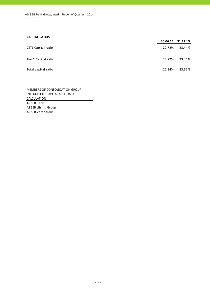#### **CAPITAL RATIOS**

|                      |        | 30.06.14 31.12.13 |
|----------------------|--------|-------------------|
| CET1 Capital ratio   | 22.72% | 23.44%            |
| Tier 1 Capital ratio | 22.72% | 23.44%            |
| Total capital ratio  | 22.84% | 23.62%            |

AS SEB Pank AS SEB Liising Group AS SEB Varahaldus MEMBERS OF CONSOLIDATION GROUP, INCLUDED TO CAPITAL ADEQUACY **CALCULATION**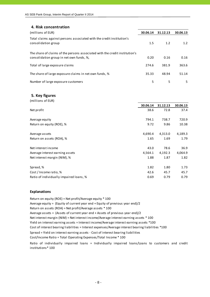#### **4. Risk concentration**

| (millions of EUR)                                                                                                       | 30.06.14 | 31.12.13 | 30.06.13 |
|-------------------------------------------------------------------------------------------------------------------------|----------|----------|----------|
| Total claims against persons associated with the credit institution's<br>consolidation group                            | 1.5      | 1.2      | 1.2      |
| The share of claims of the persons associated with the credit institution's<br>consolidation group in net own funds, %, | 0.20     | 0.16     | 0.16     |
| Total of large exposure claims                                                                                          | 274.6    | 381.9    | 363.6    |
| The share of large exposure claims in net own funds, %                                                                  | 35.33    | 48.94    | 51.14    |
| Number of large exposure customers                                                                                      | 5        | 5        | 5        |

#### **5. Key figures**

| (millions of EUR)                       |          |          |          |
|-----------------------------------------|----------|----------|----------|
|                                         | 30.06.14 | 31.12.13 | 30.06.13 |
| Net profit                              | 38.6     | 72.8     | 37.4     |
| Average equity                          | 794.1    | 738.7    | 720.9    |
| Return on equity (ROE), %               | 9.72     | 9.86     | 10.38    |
| Average assets                          | 4,690.4  | 4,313.0  | 4,189.3  |
| Return on assets (ROA), %               | 1.65     | 1.69     | 1.79     |
| Net interest income                     | 43.0     | 78.6     | 36.9     |
| Average interest earning assets         | 4,564.1  | 4,192.3  | 4,064.9  |
| Net interest margin (NIM), %            | 1.88     | 1.87     | 1.82     |
| Spread, %                               | 1.82     | 1.80     | 1.73     |
| Cost / Income ratio, %                  | 42.6     | 45.7     | 45.7     |
| Ratio of individually impaired loans, % | 0.69     | 0.79     | 0.79     |

#### **Explanations**

Return on equity (ROE) = Net profit/Average equity \* 100 Average equity = (Equity of current year end + Equity of previous year end)/2 Return on assets (ROA) = Net profit/Average assets \* 100 Average assets = (Assets of current year end + Assets of previous year end)/2 Cost of interest bearing liabilities = Interest expenses/Average interest bearing liabilities \*100 Cost/Income Ratio = Total Operating Expenses/Total Income \* 100 Spread = Yield on interest earning assets ‐ Cost of interest bearing liabilities Net interest margin (NIM) = Net interest income/Average interest earning assets \* 100 Yield on interest earning assets = Interest income/Average interest earning assets \*100

Ratio of individually impaired loans = Individually impaired loans/Loans to customers and credit institutions\* 100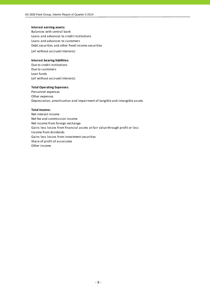#### **Interest earning assets:**

Balances with central bank Loans and advances to credit institutions Loans and advances to customers Debt securities and other fixed income securities

(all without accrued interests)

#### **Interest bearing liabilities:**

Due to credit institutions Due to customers Loan funds (all without accrued interests)

#### **Total Operating Expenses:**

Personnel expenses Other expenses Depreciation, amortisation and impairment of tangible and intangible assets

#### **Total Income:**

Net interest income Net fee and commission income Net income from foreign exchange Gains less losses from financial assets at fair value through profit or loss Income from dividends Gains less losses from investment securities Share of profit of associates Other income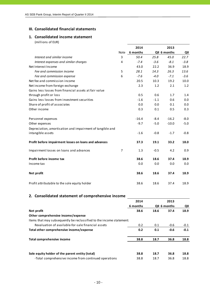#### **III. Consolidated financial statements**

# **1. Consolidated income statement**

(millions of EUR)

|                                                           | 2014           |          | 2013   |              |        |  |
|-----------------------------------------------------------|----------------|----------|--------|--------------|--------|--|
|                                                           | Note           | 6 months |        | QII 6 months | QII    |  |
| Interest and similar income                               | 3              | 50.4     | 25.8   | 45.0         | 22.7   |  |
| Interest expenses and similar charges                     | 4              | $-7.4$   | $-3.6$ | $-8.1$       | $-3.8$ |  |
| Net Interest Income                                       |                | 43.0     | 22.2   | 36.9         | 18.9   |  |
| Fee and commission income                                 | 5              | 28.1     | 14.3   | 26.3         | 13.6   |  |
| Fee and commission expense                                | 6              | $-7.6$   | $-4.0$ | $-7.1$       | $-3.6$ |  |
| Net fee and commission income                             |                | 20.5     | 10.3   | 19.2         | 10.0   |  |
| Net income from foreign exchange                          |                | 2.3      | 1.2    | 2.1          | 1.2    |  |
| Gains less losses from financial assets at fair value     |                |          |        |              |        |  |
| through profit or loss                                    |                | 0.5      | 0.6    | 1.7          | 1.4    |  |
| Gains less losses from investment securities              |                | $-1.6$   | $-1.1$ | 0.6          | 0.0    |  |
| Share of profit of associates                             |                | 0.0      | 0.0    | 0.1          | 0.0    |  |
| Other income                                              |                | 0.3      | 0.1    | 0.5          | 0.3    |  |
| Personnel expenses                                        |                | $-16.4$  | $-8.4$ | $-16.2$      | $-8.0$ |  |
| Other expenses                                            |                | $-9.7$   | $-5.0$ | $-10.0$      | $-5.0$ |  |
| Depreciation, amortisation and impairment of tangible and |                |          |        |              |        |  |
| intangible assets                                         |                | $-1.6$   | $-0.8$ | $-1.7$       | $-0.8$ |  |
| Profit before impairment losses on loans and advances     |                | 37.3     | 19.1   | 33.2         | 18.0   |  |
| Impairment losses on loans and advances                   | $\overline{7}$ | 1.3      | $-0.5$ | 4.2          | 0.9    |  |
| Profit before income tax                                  |                | 38.6     | 18.6   | 37.4         | 18.9   |  |
| Income tax                                                |                | 0.0      | 0.0    | 0.0          | 0.0    |  |
| Net profit                                                |                | 38.6     | 18.6   | 37.4         | 18.9   |  |
| Profit attributable to the sole equity holder             |                | 38.6     | 18.6   | 37.4         | 18.9   |  |

# **2. Consolidated statement of comprehensive income**

|                                                                      | 2014     |      | 2013         |        |
|----------------------------------------------------------------------|----------|------|--------------|--------|
|                                                                      | 6 months |      | QII 6 months | QII    |
| Net profit                                                           | 38.6     | 18.6 | 37.4         | 18.9   |
| Other comprehensive income/expense                                   |          |      |              |        |
| Items that may subsequently be reclassified to the income statement: |          |      |              |        |
| Revaluation of available-for-sale financial assets                   | 0.2      | 0.1  | $-0.6$       | $-0.1$ |
| Total other comprehensive income/expense                             | 0.2      | 0.1  | $-0.6$       | $-0.1$ |
| Total comprehensive income                                           | 38.8     | 18.7 | 36.8         | 18.8   |
| Sole equity holder of the parent entity (total)                      | 38.8     | 18.7 | 36.8         | 18.8   |
| -Total comprehensive income from continued operations                | 38.8     | 18.7 | 36.8         | 18.8   |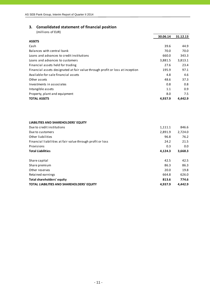# **3. Consolidated statement of financial position**

|                                                                               | 30.06.14 | 31.12.13 |
|-------------------------------------------------------------------------------|----------|----------|
| <b>ASSETS</b>                                                                 |          |          |
| Cash                                                                          | 39.6     | 44.9     |
| Balances with central bank                                                    | 70.0     | 70.0     |
| Loans and advances to credit institutions                                     | 660.0    | 343.3    |
| Loans and advances to customers                                               | 3,881.5  | 3,813.1  |
| Financial assets held for trading                                             | 27.6     | 23.4     |
| Financial assets designated at fair value through profit or loss at inception | 195.9    | 97.1     |
| Available-for-sale financial assets                                           | 4.8      | 4.6      |
| Other assets                                                                  | 48.6     | 37.3     |
| Investments in associates                                                     | 0.8      | 0.8      |
| Intangible assets                                                             | 1.1      | 0.9      |
| Property, plant and equipment                                                 | 8.0      | 7.5      |
| <b>TOTAL ASSETS</b>                                                           | 4.937.9  | 4,442.9  |

| LIABILITIES AND SHAREHOLDERS' EQUITY                       |         |         |
|------------------------------------------------------------|---------|---------|
| Due to credit institutions                                 | 1,111.1 | 846.6   |
| Due to customers                                           | 2.891.9 | 2,724.0 |
| Other liabilities                                          | 96.8    | 76.2    |
| Financial liabilities at fair value through profit or loss | 24.2    | 21.5    |
| Provisions                                                 | 0.3     | 0.0     |
| <b>Total Liabilities</b>                                   | 4,124.3 | 3,668.3 |
|                                                            |         |         |
| Share capital                                              | 42.5    | 42.5    |
| Share premium                                              | 86.3    | 86.3    |
| Other reserves                                             | 20.0    | 19.8    |
| Retained earnings                                          | 664.8   | 626.0   |
| Total shareholders' equity                                 | 813.6   | 774.6   |
| <b>TOTAL LIABILITIES AND SHAREHOLDERS' EQUITY</b>          | 4.937.9 | 4.442.9 |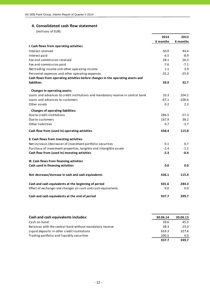# **4. Consolidated cash flow statement**

|                                                                                 | 2014     | 2013     |
|---------------------------------------------------------------------------------|----------|----------|
|                                                                                 | 6 months | 6 months |
| I. Cash flows from operating activities                                         |          |          |
| Interest received                                                               | 50.0     | 44.4     |
| Interest paid                                                                   | $-6.5$   | -8.9     |
| Fee and commission received                                                     | 28.1     | 26.3     |
| Fee and commission paid                                                         | $-7.6$   | $-7.1$   |
| Net trading income and other operating income                                   | 1.1      | 3.9      |
| Personnel expenses and other operating expenses                                 | $-25.2$  | $-25.9$  |
| Cash flows from operating activities before changes in the operating assets and |          |          |
| liabilities                                                                     | 39.9     | 32.7     |
| Changes in operating assets:                                                    |          |          |
| Loans and advances to credit institutions and mandatory reserve in central bank | 10.3     | 204.2    |
| Loans and advances to customers                                                 | $-67.1$  | $-100.6$ |
| Other assets                                                                    | 0.2      | 2.3      |
| <b>Changes of operating liabilities:</b>                                        |          |          |
| Due to credit institutions                                                      | 286.5    | $-57.3$  |
| Due to customers                                                                | 167.9    | 38.2     |
| Other liabilities                                                               | 0.7      | $-3.7$   |
| Cash flow from (used in) operating activities                                   | 438.4    | 115.8    |
| II. Cash flows from investing activities                                        |          |          |
| Net increase-/decrease+ of investment portfolio securities                      | 0.1      | 0.7      |
| Purchase of investment properties, tangible and intangible assets               | $-2.4$   | $-1.1$   |
| Cash flow from (used in) investing activities                                   | $-2.3$   | $-0.4$   |
| III. Cash flows from financing activities                                       |          |          |
| Cash used in financing activities                                               | 0.0      | 0.0      |
|                                                                                 |          |          |
| Net decrease/increase in cash and cash equivalents                              | 436.1    | 115.4    |
| Cash and cash equivalents at the beginning of period                            | 501.6    | 284.3    |
| Effect of exchange rate changes on cash and cash equivalents                    | 0.0      | 0.0      |
| Cash and cash equivalents at the end of period                                  | 937.7    | 399.7    |

| Cash and cash equivalents includes:                      | 30.06.14 | 30.06.13 |
|----------------------------------------------------------|----------|----------|
| Cash on hand                                             | 39.6     | 45.3     |
| Balances with the central bank without mandatory reserve | 38.3     | 23.0     |
| Liquid deposits in other credit institutions             | 659.3    | 327.4    |
| Trading portfolio and liquidity securities               | 200.5    | 4.0      |
|                                                          | 937.7    | 399.7    |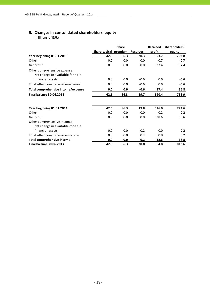# **5. Changes in consolidated shareholders' equity**

|                                    |               | <b>Share</b> |                 | <b>Retained</b> | shareholders' |
|------------------------------------|---------------|--------------|-----------------|-----------------|---------------|
|                                    | Share capital | premium      | <b>Reserves</b> | profit          | equity        |
| Year beginning 01.01.2013          | 42.5          | 86.3         | 20.3            | 553.7           | 702.8         |
| Other                              | 0.0           | 0.0          | 0.0             | $-0.7$          | $-0.7$        |
| Net profit                         | 0.0           | 0.0          | 0.0             | 37.4            | 37.4          |
| Other comprehensive expense:       |               |              |                 |                 |               |
| Net change in available-for-sale   |               |              |                 |                 |               |
| financial assets                   | 0.0           | 0.0          | $-0.6$          | 0.0             | $-0.6$        |
| Total other comprehensive expense  | 0.0           | 0.0          | $-0.6$          | 0.0             | $-0.6$        |
| Total comprehensive income/expense | 0.0           | 0.0          | $-0.6$          | 37.4            | 36.8          |
| <b>Final balance 30.06.2013</b>    | 42.5          | 86.3         | 19.7            | 590.4           | 738.9         |
|                                    |               |              |                 |                 |               |
| Year beginning 01.01.2014          | 42.5          | 86.3         | 19.8            | 626.0           | 774.6         |
| Other                              | 0.0           | 0.0          | 0.0             | 0.2             | 0.2           |
| Net profit                         | 0.0           | 0.0          | 0.0             | 38.6            | 38.6          |
| Other comprehensive income:        |               |              |                 |                 |               |
| Net change in available-for-sale   |               |              |                 |                 |               |
| financial assets                   | 0.0           | 0.0          | 0.2             | 0.0             | 0.2           |
| Total other comprehensive income   | 0.0           | 0.0          | 0.2             | 0.0             | 0.2           |
| Total comprehensive income         | 0.0           | 0.0          | 0.2             | 38.6            | 38.8          |
| <b>Final balance 30.06.2014</b>    | 42.5          | 86.3         | 20.0            | 664.8           | 813.6         |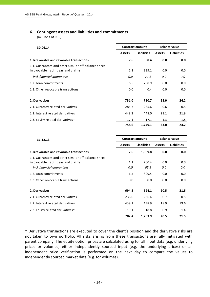#### **6. Contingent assets and liabilities and commitments**

(millions of EUR)

| 30.06.14                                                                                   | <b>Contract amount</b> |                    | <b>Balance value</b> |                    |  |
|--------------------------------------------------------------------------------------------|------------------------|--------------------|----------------------|--------------------|--|
|                                                                                            | <b>Assets</b>          | <b>Liabilities</b> | <b>Assets</b>        | <b>Liabilities</b> |  |
| 1. Irrevocable and revocable transactions                                                  | 7.6                    | 998.4              | 0.0                  | 0.0                |  |
| 1.1. Guarantees and other similar off-balance sheet<br>irrovocable liabilitieas and claims | 1.1                    | 239.1              | 0.0                  | 0.0                |  |
| incl. financial quarantees                                                                 | 0.0                    | 72.8               | 0.0                  | 0.0                |  |
| 1.2. Loan commitments                                                                      | 6.5                    | 758.9              | 0.0                  | 0.0                |  |
| 1.3. Other revocable transactions                                                          | 0.0                    | 0.4                | 0.0                  | 0.0                |  |
| 2. Derivatives                                                                             | 751.0                  | 750.7              | 23.0                 | 24.2               |  |
| 2.1. Currency related derivatives                                                          | 285.7                  | 285.6              | 0.6                  | 0.5                |  |
| 2.2. Interest related derivatives                                                          | 448.2                  | 448.0              | 21.1                 | 21.9               |  |
| 2.3. Equity related derivatives*                                                           | 17.1                   | 17.1               | 1.3                  | 1.8                |  |
|                                                                                            | 758.6                  | 1,749.1            | 23.0                 | 24.2               |  |

| 31.12.13                                            | <b>Contract amount</b> | <b>Balance value</b> |               |                    |
|-----------------------------------------------------|------------------------|----------------------|---------------|--------------------|
|                                                     | <b>Assets</b>          | <b>Liabilities</b>   | <b>Assets</b> | <b>Liabilities</b> |
| 1. Irrevocable and revocable transactions           | 7.6                    | 1,069.8              | 0.0           | 0.0                |
| 1.1. Guarantees and other similar off-balance sheet |                        |                      |               |                    |
| irrovocable liabilitieas and claims                 | 1.1                    | 260.4                | 0.0           | 0.0                |
| incl. financial quarantees                          | 0.0                    | 65.3                 | 0.0           | 0.0                |
| 1.2. Loan commitments                               | 6.5                    | 809.4                | 0.0           | 0.0                |
| 1.3. Other revocable transactions                   | 0.0                    | 0.0                  | 0.0           | 0.0                |
| 2. Derivatives                                      | 694.8                  | 694.1                | 20.5          | 21.5               |
| 2.1. Currency related derivatives                   | 236.6                  | 236.4                | 0.7           | 0.5                |
| 2.2. Interest related derivatives                   | 439.1                  | 438.9                | 18.9          | 19.6               |
| 2.3. Equity related derivatives*                    | 19.1                   | 18.8                 | 0.9           | 1.4                |
|                                                     | 702.4                  | 1,763.9              | 20.5          | 21.5               |

\* Derivative transactions are executed to cover the client's position and the derivative risks are not taken to own portfolio. All risks arising from these transactions are fully mitigated with parent company. The equity option prices are calculated using for all input data (e.g. underlying prices or volumes) either independently sourced input (e.g. the underlying prices) or an independent price verification is performed on the next day to compare the values to independently sourced market data (e.g. for volumes).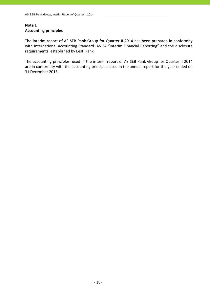# **Note 1 Accounting principles**

The interim report of AS SEB Pank Group for Quarter II 2014 has been prepared in conformity with International Accounting Standard IAS 34 "Interim Financial Reporting" and the disclosure requirements, established by Eesti Pank.

The accounting principles, used in the interim report of AS SEB Pank Group for Quarter II 2014 are in conformity with the accounting principles used in the annual report for the year ended on 31 December 2013.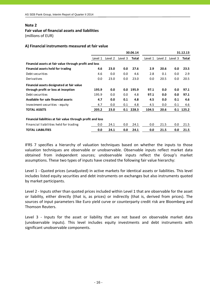#### **Fair value of financial assets and liabilities** (millions of EUR)

#### **A) Financial instruments measured at fair value**

|                                                             | 30.06.14 |         |         |       |         |         | 31.12.13 |       |
|-------------------------------------------------------------|----------|---------|---------|-------|---------|---------|----------|-------|
|                                                             | Level 1  | Level 2 | Level 3 | Total | Level 1 | Level 2 | Level 3  | Total |
| Financial assets at fair value through profit and loss      |          |         |         |       |         |         |          |       |
| Financial assets held for trading                           | 4.6      | 23.0    | 0.0     | 27.6  | 2.9     | 20.6    | 0.0      | 23.5  |
| Debt securities                                             | 4.6      | 0.0     | 0.0     | 4.6   | 2.8     | 0.1     | 0.0      | 2.9   |
| Derivatives                                                 | 0.0      | 23.0    | 0.0     | 23.0  | 0.0     | 20.5    | 0.0      | 20.5  |
| Financial assets designated at fair value                   |          |         |         |       |         |         |          |       |
| through profit or loss at inception                         | 195.9    | 0.0     | 0.0     | 195.9 | 97.1    | 0.0     | 0.0      | 97.1  |
| Debt securities                                             | 195.9    | 0.0     | 0.0     | 4.8   | 97.1    | 0.0     | 0.0      | 97.1  |
| Available for sale financial assets                         | 4.7      | 0.0     | 0.1     | 4.8   | 4.5     | 0.0     | 0.1      | 4.6   |
| Investment securities - equity                              | 4.7      | 0.0     | 0.1     | 4.8   | 4.5     | 0.0     | 0.1      | 4.6   |
| <b>TOTAL ASSETS</b>                                         | 205.2    | 23.0    | 0.1     | 228.3 | 104.5   | 20.6    | 0.1      | 125.2 |
| Financial liabilities at fair value through profit and loss |          |         |         |       |         |         |          |       |
| Financial liabilities held for trading                      | 0.0      | 24.1    | 0.0     | 24.1  | 0.0     | 21.5    | 0.0      | 21.5  |
| <b>TOTAL LIABILITIES</b>                                    | 0.0      | 24.1    | 0.0     | 24.1  | 0.0     | 21.5    | 0.0      | 21.5  |

IFRS 7 specifies a hierarchy of valuation techniques based on whether the inputs to those valuation techniques are observable or unobservable. Observable inputs reflect market data obtained from independent sources; unobservable inputs reflect the Group's market assumptions. These two types of inputs have created the following fair value hierarchy:

Level 1 ‐ Quoted prices (unadjusted) in active markets for identical assets or liabilities. This level includes listed equity securities and debt instruments on exchanges but also instruments quoted by market participants.

Level 2 ‐ Inputs other than quoted prices included within Level 1 that are observable for the asset or liability, either directly (that is, as prices) or indirectly (that is, derived from prices). The sources of input parameters like Euro yield curve or counterparty credit risk are Bloomberg and Thomson Reuters.

Level 3 - Inputs for the asset or liability that are not based on observable market data (unobservable inputs). This level includes equity investments and debt instruments with significant unobservable components.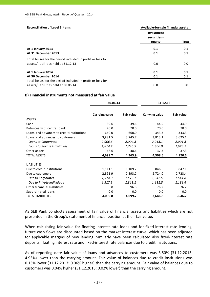| <b>Reconciliation of Level 3 Items</b>                     | Available-for-sale financial assets  |       |
|------------------------------------------------------------|--------------------------------------|-------|
|                                                            | Investment<br>securities -<br>equity | Total |
|                                                            |                                      |       |
| At 1 January 2013                                          | 0.1                                  | 0.1   |
| At 31 December 2013                                        | 0.1                                  | 0.1   |
| Total losses for the period included in profit or loss for |                                      |       |
| assets/liabilities held at 31.12.13                        | 0.0                                  | 0.0   |
| At 1 January 2014                                          | 0.1                                  | 0.1   |
| At 30 December 2014                                        | 0.1                                  | 0.1   |
| Total losses for the period included in profit or loss for |                                      |       |
| assets/liabilities held at 30.06.14                        | 0.0                                  | 0.0   |

#### **B) Financial instruments not measured at fair value**

|                                           | 30.06.14              |            | 31.12.13              |            |  |
|-------------------------------------------|-----------------------|------------|-----------------------|------------|--|
|                                           | <b>Carrying value</b> | Fair value | <b>Carrying value</b> | Fair value |  |
| <b>ASSETS</b>                             |                       |            |                       |            |  |
| Cash                                      | 39.6                  | 39.6       | 44.9                  | 44.9       |  |
| Balances with central bank                | 70.0                  | 70.0       | 70.0                  | 70.0       |  |
| Loans and advances to credit institutions | 660.0                 | 660.0      | 343.3                 | 343.3      |  |
| Loans and advances to customers           | 3,881.5               | 3,745.7    | 3,813.1               | 3,625.1    |  |
| Loans to Corporates                       | 2,006.6               | 2,004.8    | 2,013.1               | 2,001.8    |  |
| Loans to Private individuals              | 1,874.9               | 1,740.9    | 1,800.0               | 1,623.2    |  |
| Other assets                              | 48.6                  | 48.6       | 37.3                  | 37.3       |  |
| <b>TOTAL ASSETS</b>                       | 4,699.7               | 4,563.9    | 4,308.6               | 4,120.6    |  |
| <b>LIABILITIES</b>                        |                       |            |                       |            |  |
| Due to credit institutions                | 1,111.1               | 1,109.7    | 846.6                 | 847.1      |  |
| Due to customers                          | 2,891.9               | 2,893.2    | 2,724.0               | 2,723.4    |  |
| Due to Corporates                         | 1,574.0               | 1,575.1    | 1,542.5               | 1,541.8    |  |
| Due to Private Individuals                | 1,317.9               | 1,318.1    | 1,181.5               | 1,181.6    |  |
| Other financial liabilities               | 96.8                  | 96.8       | 76.2                  | 76.2       |  |
| Subordinated loans                        | 0.0                   | 0.0        | 0.0                   | 0.0        |  |
| <b>TOTAL LIABILITIES</b>                  | 4,099.8               | 4,099.7    | 3,646.8               | 3,646.7    |  |

AS SEB Pank conducts assessment of fair value of financial assets and liabilities which are not presented in the Group's statement of financial position at their fair value.

When calculating fair value for floating interest rate loans and for fixed-interest rate lending, future cash flows are discounted based on the market interest curve, which has been adjusted for applicable margins of new lending. Similarly have been calculated also fixed-interest rate deposits, floating interest rate and fixed‐interest rate balances due to credit institutions.

As of reporting date fair value of loans and advances to customers was 3.50% (31.12.2013: 4.93%) lower than the carrying amount. Fair value of balances due to credit institutions was 0.13% lower (31.12.2013: 0.06% higher) than the carrying amount. Fair value of balances due to customers was 0.04% higher (31.12.2013: 0.02% lower) than the carrying amount.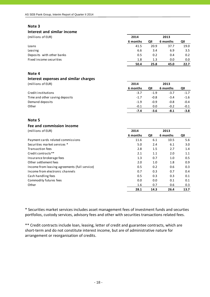#### **Interest and similar income**

| (millions of EUR)         | 2014     |      | 2013     |      |
|---------------------------|----------|------|----------|------|
|                           | 6 months | QII  | 6 months | QII  |
| Loans                     | 41.5     | 20.9 | 37.7     | 19.0 |
| Leasing                   | 6.6      | 3.4  | 6.9      | 3.5  |
| Deposits with other banks | 0.5      | 0.2  | 0.4      | 0.2  |
| Fixed income securities   | 1.8      | 1.3  | 0.0      | 0.0  |
|                           | 50.4     | 25.8 | 45.0     | 22.7 |

#### **Note 4**

# **Interest expenses and similar charges**

(millions of EUR) **2014 2013**

|                                | 6 months | QII    | 6 months | QII    |
|--------------------------------|----------|--------|----------|--------|
| Credit institutions            | $-3.7$   | $-1.9$ | $-3.7$   | $-1.7$ |
| Time and other saving deposits | $-1.7$   | $-0.8$ | $-3.4$   | -1.6   |
| Demand deposits                | $-1.9$   | $-0.9$ | $-0.8$   | $-0.4$ |
| Other                          | $-0.1$   | 0.0    | $-0.2$   | $-0.1$ |
|                                | -7.4     | -3.6   | -8.1     | $-3.8$ |

#### **Note 5**

## **Fee and commission income**

| (millions of EUR) | 2014 | 2013 |
|-------------------|------|------|
|                   |      |      |

|                                               | 6 months | QII  | 6 months | QII  |
|-----------------------------------------------|----------|------|----------|------|
| Payment cards related commissions             | 11.6     | 6.1  | 10.5     | 5.6  |
| Securities market services *                  | 5.0      | 2.4  | 6.1      | 3.0  |
| Transaction fees                              | 2.8      | 1.5  | 2.7      | 1.4  |
| Credit contracts**                            | 2.1      | 1.1  | 2.0      | 1.1  |
| Insurance brokerage fees                      | 1.3      | 0.7  | 1.0      | 0.5  |
| Other settlement fees                         | 2.0      | 1.0  | 1.8      | 0.9  |
| Income from leasing agreements (full service) | 0.5      | 0.2  | 0.6      | 0.3  |
| Income from electronic channels               | 0.7      | 0.3  | 0.7      | 0.4  |
| Cash handling fees                            | 0.5      | 0.3  | 0.3      | 0.1  |
| Commodity futures fees                        | 0.0      | 0.0  | 0.1      | 0.1  |
| Other                                         | 1.6      | 0.7  | 0.6      | 0.3  |
|                                               | 28.1     | 14.3 | 26.4     | 13.7 |

\* Securities market services includes asset management fees of investment funds and securties portfolios, custody services, advisory fees and other with securities transactions related fees.

\*\* Credit contracts include loan, leasing, letter of credit and guarantee contracts, which are short-term and do not constitute interest income, but are of administrative nature for arrangement or reorganisation of credits.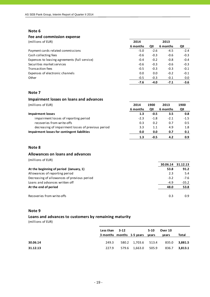# **Fee and commission expense**

| (millions of EUR)                             | 2014     |        | 2013     |        |
|-----------------------------------------------|----------|--------|----------|--------|
|                                               | 6 months | QII    | 6 months | QII    |
| Payment cards related commissions             | $-5.0$   | $-2.6$ | $-4.5$   | $-2.4$ |
| Cash collecting fees                          | $-0.6$   | $-0.3$ | $-0.6$   | $-0.3$ |
| Expenses to leasing agreements (full service) | $-0.4$   | $-0.2$ | $-0.8$   | $-0.4$ |
| Securities market services                    | $-0.6$   | $-0.3$ | $-0.6$   | $-0.3$ |
| <b>Transaction fees</b>                       | $-0.5$   | $-0.3$ | $-0.3$   | $-0.1$ |
| Expenses of electronic channels               | 0.0      | 0.0    | $-0.2$   | $-0.1$ |
| Other                                         | $-0.5$   | $-0.3$ | $-0.1$   | 0.0    |
|                                               | $-7.6$   | $-4.0$ | $-7.1$   | $-3.6$ |

### **Note 7**

#### **Impairment losses on loans and advances**

| (millions of EUR)                                  | 2014     | 1900   | 2013     | 1900   |
|----------------------------------------------------|----------|--------|----------|--------|
|                                                    | 6 months | QII    | 6 months | QII    |
| <b>Impairment losses</b>                           | 1.3      | -0.5   | 3.5      | 0.8    |
| impairment losses of reporting period              | $-2.3$   | $-1.8$ | $-2.1$   | $-1.5$ |
| recoveries from write-offs                         | 0.3      | 0.2    | 0.7      | 0.5    |
| decreasing of impairment losses of previous period | 3.3      | 1.1    | 4.9      | 1.8    |
| Impairment losses for contingent liabilities       | 0.0      | 0.0    | 0.7      | 0.1    |
|                                                    | 1.3      | -0.5   | 4.2      | 0.9    |

#### **Note 8**

# **Allowances on loans and advances**

| (millions of EUR) |  |
|-------------------|--|
|-------------------|--|

|                                             | 30.06.14 | 31.12.13 |
|---------------------------------------------|----------|----------|
| At the beginning of period (January, 1)     | 53.8     | 91.2     |
| Allowances of reporting period              | 2.3      | 5.4      |
| Decreasing of allowances of previous period | $-3.2$   | $-7.6$   |
| Loans and advances written off              | $-4.9$   | $-35.2$  |
| At the end of period                        | 48.0     | 53.8     |
|                                             |          |          |
| Recoveries from write-offs                  | 0.3      | 0.9      |

#### **Note 9**

# **Loans and advances to customers by remaining maturity**

|          | Less than 3-12 | 3 months months 1-5 years years | $5-10$ | Over 10<br>vears | Total         |
|----------|----------------|---------------------------------|--------|------------------|---------------|
| 30.06.14 | 249.3          | 580.2 1,703.6 513.4             |        | 835.0 3,881.5    |               |
| 31.12.13 | 227.9          | 579.6 1,663.0 505.9             |        |                  | 836.7 3,813.1 |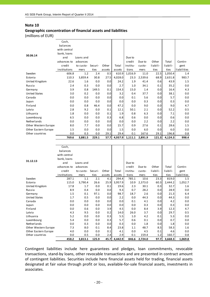#### **Geographic concentration of financial assets and liabilities**

(millions of EUR)

|                           | Cash,        |            |            |            |             |            |                |                |            |             |
|---------------------------|--------------|------------|------------|------------|-------------|------------|----------------|----------------|------------|-------------|
|                           | balances     |            |            |            |             |            |                |                |            |             |
|                           | with central |            |            |            |             |            |                |                |            |             |
|                           | bank, loans  |            |            |            |             |            |                |                |            |             |
| 30.06.14                  | and          | Loans and  |            |            |             | Due to     |                |                |            |             |
|                           | advances to  | advances   |            |            |             | credit     | Due to         | Other          | Total      | Contin-     |
|                           | credit       | to custo-  | Securi-    | Other      | Total       | institu-   | custo-         | liabili-       | liabili-   | gent        |
|                           | institutions | mers       | ties       | assets     | assets      | tions      | mers           | ties           | ties       | liabilities |
| Sweden                    | 606.8        | 1.2        | 2.4        | 0.5        | 610.9       | 1,016.9    | 11.0           | 22.5           | 1,050.4    | 1.4         |
| Estonia                   | 110.3        | 3,859.4    | 30.8       | 27.5       | 4,028.0     | 23.3       | 2,539.6        | 68.9           | 2,631.8    | 983.7       |
| United Kingdom            | 22.6         | 1.6        | 0.0        | 0.0        | 24.2        | 1.9        | 41.4           | 0.6            | 43.9       | 1.5         |
| Russia                    | 2.4          | 0.3        | 0.0        | 0.0        | 2.7         | 1.0        | 34.1           | 0.1            | 35.2       | 0.0         |
|                           | 3.9          |            |            |            |             |            |                |                |            |             |
| Germany                   |              | 0.8        | 149.5      | 0.1        | 154.3       | 15.0       | 1.4            | 0.0            | 16.4       | 4.3         |
| <b>United States</b>      | 3.0          | 0.2        | 0.0        | 0.0        | 3.2         | 0.4        | 37.7           | 0.0            | 38.1       | 0.0         |
| Canada                    | 0.0          | 0.0        | 0.0        | 0.0        | 0.0         | 0.1        | 5.6            | 0.0            | 5.7        | 0.0         |
| Japan                     | 0.0          | 0.0        | 0.0        | 0.0        | 0.0         | 0.0        | 0.3            | 0.0            | 0.3        | 0.0         |
| Finland                   | 0.0          | 0.8        | 46.4       | 0.0        | 47.2        | 0.0        | 9.0            | 0.0            | 9.0        | 4.7         |
| Latvia                    | 2.8          | 9.2        | 0.0        | 0.1        | 12.1        | 50.1       | 2.1            | 0.0            | 52.2       | 0.5         |
| Lithuania                 | 1.8          | 0.0        | 0.0        | 0.1        | 1.9         | 0.8        | 6.3            | 0.0            | 7.1        | 0.0         |
| Luxembourg                | 6.5          | 0.0        | 0.0        | 0.3        | 6.8         | 0.6        | 0.0            | 0.0            | 0.6        | 0.0         |
| Netherlands               | 0.0          | 0.0        | 0.0        | 0.0        | 0.0         | 0.0        | 2.2            | 0.0            | 2.2        | 0.0         |
| Other Western Europe      | 8.0          | 7.7        | 0.0        | 0.0        | 15.7        | 0.9        | 27.6           | 0.1            | 28.6       | 1.5         |
| Other Eastern Europe      | 1.5          | 0.0        | 0.0        | 0.0        | 1.5         | 0.0        | 6.0            | 0.0            | 6.0        | 0.0         |
| Other countries           | 0.0          | 0.3        | 0.0        | 29.1       | 29.4        | 0.1        | 167.6          | 29.1           | 196.8      | 0.8         |
|                           | 769.6        | 3,881.5    | 229.1      | 57.7       | 4,937.9     | 1,111.1    | 2,891.9        | 121.3          | 4.124.3    | 998.4       |
|                           |              |            |            |            |             |            |                |                |            |             |
|                           |              |            |            |            |             |            |                |                |            |             |
|                           |              |            |            |            |             |            |                |                |            |             |
|                           | Cash,        |            |            |            |             |            |                |                |            |             |
|                           | balances     |            |            |            |             |            |                |                |            |             |
|                           | with central |            |            |            |             |            |                |                |            |             |
| 31.12.13                  | bank, loans  |            |            |            |             |            |                |                |            |             |
|                           | and          | Loans and  |            |            |             | Due to     |                |                |            |             |
|                           | advances to  | advances   |            |            |             | credit     | Due to         | Other          | Total      | Contin-     |
|                           | credit       | to custo-  | Securi-    | Other      | Total       | institu-   | custo-         | liabili-       | liabili-   | gent        |
|                           | institutions | mers       | ties       | assets     | assets      | tions      | mers           | ties           | ties       | liabilities |
| Sweden                    | 287.1        | 1.1        | 2.1        | 4.1        | 294.4       | 785.1      | 10.6           | 23.3           | 819.0      | 1.5         |
| Estonia                   | 115.0        | 3,790.4    | 26.6       | 25.9       | 3,957.9     | 10.9       | 2,373.0        | 60.3           | 2,444.2    | 1,052.7     |
| United Kingdom            | 17.8         | 1.7        | 0.0        | 0.1        | 19.6        | 2.3        | 30.1           | 0.3            | 32.7       | 1.6         |
| <b>Russia</b>             | 8.9          | 0.4        | 0.0        | 0.0        | 9.3         | 0.7        | 28.2           | 0.0            | 28.9       | 0.0         |
| Germany                   | 1.5          | 0.1        | 97.1       | 0.0        | 98.7        | 18.7       | 2.6            | 0.0            | 21.3       | 6.4         |
| <b>United States</b>      | 1.7          | 0.5        | $0.0\,$    | 0.0        | 2.2         | 0.0        | 44.3           | 0.0            | 44.3       | $0.0\,$     |
| Canada                    | 0.0          | 0.0        | 0.0        | 0.0        | 0.0         | 0.1        | 4.1            | 0.0            | 4.2        | 0.0         |
| Japan                     | $0.0\,$      | 0.0        | 0.0        | 0.0        | 0.0         | 0.0        | 0.3            | 0.0            | 0.3        | $0.0\,$     |
| Finland<br>Latvia         | $0.0\,$      | 0.6<br>9.5 | 0.0<br>0.0 | 3.9<br>0.2 | 4.5<br>14.0 | 0.0        | 8.4<br>3.7     | 3.9<br>0.0     | 12.3       | 4.7         |
|                           | 4.3          |            |            |            |             | 26.0       |                |                | 29.7       | 0.5         |
| Lithuania                 | 5.2          | 0.0<br>0.0 | 0.0        | 0.3        | 5.5         | 1.0<br>0.6 | 4.2            | $0.1\,$<br>0.0 | 5.3<br>0.7 | 0.0         |
| Luxembourg<br>Netherlands | 5.4<br>0.0   | 0.3        | 0.0<br>0.0 | 0.3<br>0.0 | 5.7         | 0.0        | $0.1\,$<br>1.8 | 0.0            | 1.8        | 0.0         |
| Other Western Europe      | 7.3          | 8.0        | 0.1        | 8.4        | 0.3<br>23.8 | 1.1        | 48.7           | 8.5            | 58.3       | 0.0<br>1.6  |
| Other Eastern Europe      | 4.0          | 0.0        | 0.0        | 0.1        | 4.1         | 0.0        | 4.5            | 0.1            | 4.6        | 0.0         |
| Other countries           | 0.0          | 0.5        | 0.0        | 2.4        | 2.9         | 0.1        | 159.4          | 1.2            | 160.7      | 0.8         |

Contingent liabilities include here guarantees and pledges, loan commitments, revocable transactions, stand‐by loans, other revocable transactions and are presented in contract amount of contingent liabilities. Securities include here financial assets held for trading, financial assets designated at fair value through profit or loss, available‐for‐sale financial assets, investments in associates.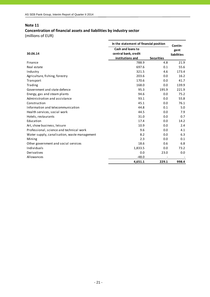# **Concentration of financial assets and liabilities by industry sector**

| In the statement of financial position       |                      |                   | Contin-            |
|----------------------------------------------|----------------------|-------------------|--------------------|
|                                              | Cash and loans to    |                   | gent               |
| 30.06.14                                     | central bank, credit |                   | <b>liabilities</b> |
|                                              | institutions and     | <b>Securities</b> |                    |
| Finance                                      | 788.9                | 4.8               | 21.9               |
| Real estate                                  | 697.6                | 0.1               | 55.6               |
| Industry                                     | 321.5                | 4.6               | 173.4              |
| Agriculture, fishing, forestry               | 203.6                | 0.0               | 16.2               |
| Transport                                    | 170.6                | 0.0               | 41.7               |
| Trading                                      | 168.0                | 0.0               | 139.9              |
| Government and state defence                 | 95.3                 | 195.9             | 221.9              |
| Energy, gas and steam plants                 | 94.6                 | 0.0               | 75.2               |
| Administration and assistance                | 93.1                 | 0.0               | 55.8               |
| Construction                                 | 45.1                 | 0.0               | 76.1               |
| Information and telecommunication            | 44.8                 | 0.1               | 5.0                |
| Health services, social work                 | 44.5                 | 0.0               | 7.9                |
| Hotels, restaurants                          | 31.0                 | 0.0               | 0.7                |
| Education                                    | 17.4                 | 0.0               | 14.2               |
| Art, show business, leisure                  | 10.9                 | 0.0               | 2.4                |
| Professional, science and technical work     | 9.6                  | 0.0               | 4.1                |
| Water supply, canalisation, waste management | 8.2                  | 0.0               | 6.3                |
| Mining                                       | 2.3                  | 0.0               | 0.1                |
| Other government and social services         | 18.6                 | 0.6               | 6.8                |
| Individuals                                  | 1,833.5              | 0.0               | 73.2               |
| Derivatives                                  | 0.0                  | 23.0              | 0.0                |
| Allowances                                   | $-48.0$              |                   |                    |
|                                              | 4,651.1              | 229.1             | 998.4              |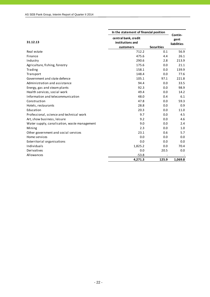|                                              |                                                       | In the statement of financial position |                                       |  |  |
|----------------------------------------------|-------------------------------------------------------|----------------------------------------|---------------------------------------|--|--|
| 31.12.13                                     | central bank, credit<br>institutions and<br>customers | <b>Securities</b>                      | Contin-<br>gent<br><b>liabilities</b> |  |  |
| Real estate                                  | 712.2                                                 | 0.1                                    | 56.9                                  |  |  |
| Finance                                      | 475.6                                                 | 4.4                                    | 26.1                                  |  |  |
| Industry                                     | 290.6                                                 | 2.8                                    | 213.9                                 |  |  |
| Agriculture, fishing, forestry               | 175.6                                                 | 0.0                                    | 21.1                                  |  |  |
| Trading                                      | 158.1                                                 | 0.0                                    | 139.9                                 |  |  |
| Transport                                    | 148.4                                                 | 0.0                                    | 77.6                                  |  |  |
| Government and state defence                 | 105.1                                                 | 97.1                                   | 221.8                                 |  |  |
| Administration and assistance                | 94.4                                                  | 0.0                                    | 33.5                                  |  |  |
| Energy, gas and steam plants                 | 92.3                                                  | 0.0                                    | 98.9                                  |  |  |
| Health services, social work                 | 49.4                                                  | 0.0                                    | 14.2                                  |  |  |
| Information and telecommunication            | 48.0                                                  | 0.4                                    | 6.1                                   |  |  |
| Construction                                 | 47.8                                                  | 0.0                                    | 59.3                                  |  |  |
| Hotels, restaurants                          | 28.8                                                  | 0.0                                    | 0.9                                   |  |  |
| Education                                    | 20.3                                                  | 0.0                                    | 11.0                                  |  |  |
| Professional, science and technical work     | 9.7                                                   | 0.0                                    | 4.5                                   |  |  |
| Art, show business, leisure                  | 9.2                                                   | 0.0                                    | 4.6                                   |  |  |
| Water supply, canalisation, waste management | 9.0                                                   | 0.0                                    | 2.4                                   |  |  |
| Mining                                       | 2.3                                                   | 0.0                                    | 1.0                                   |  |  |
| Other government and social services         | 23.1                                                  | 0.6                                    | 5.7                                   |  |  |
| Home services                                | 0.0                                                   | 0.0                                    | 0.0                                   |  |  |
| Exterritorial organisations                  | 0.0                                                   | 0.0                                    | 0.0                                   |  |  |
| Individuals                                  | 1,825.2                                               | 0.0                                    | 70.4                                  |  |  |
| Derivatives                                  | 0.0                                                   | 20.5                                   | 0.0                                   |  |  |
| Allowances                                   | $-53.8$                                               |                                        |                                       |  |  |
|                                              | 4,271.3                                               | 125.9                                  | 1,069.8                               |  |  |